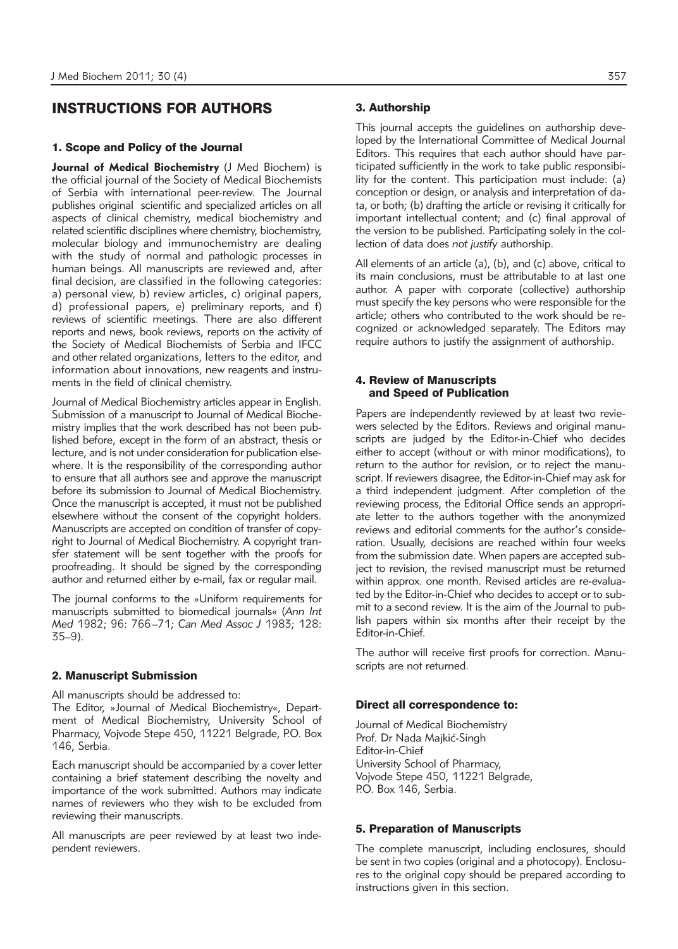# INSTRUCTIONS FOR AUTHORS

#### 1. Scope and Policy of the Journal

**Journal of Medical Biochemistry** (J Med Biochem) is the official journal of the Society of Medical Biochemists of Serbia with international peer-review. The Journal publishes original scientific and specialized articles on all aspects of clinical chemistry, medical biochemistry and related scientific disciplines where chemistry, biochemistry, molecular biology and immunochemistry are dealing with the study of normal and pathologic processes in human beings. All manuscripts are reviewed and, after final decision, are classified in the following categories: a) personal view, b) review articles, c) original papers, d) professional papers, e) preliminary reports, and f) reviews of scientific meetings. There are also different reports and news, book reviews, reports on the activity of the Society of Medical Biochemists of Serbia and IFCC and other related organizations, letters to the editor, and information about innovations, new reagents and instruments in the field of clinical chemistry.

Journal of Medical Biochemistry articles appear in English. Submission of a manuscript to Journal of Medical Biochemistry implies that the work described has not been published before, except in the form of an abstract, thesis or lecture, and is not under consideration for publication elsewhere. It is the responsibility of the corresponding author to ensure that all authors see and approve the manuscript before its submission to Journal of Medical Biochemistry. Once the manuscript is accepted, it must not be published elsewhere without the consent of the copyright holders. Manuscripts are accepted on condition of transfer of copyright to Journal of Medical Biochemistry. A copyright tran sfer statement will be sent together with the proofs for proofreading. It should be signed by the corresponding author and returned either by e-mail, fax or regular mail.

The journal conforms to the »Uniform requirements for ma nu scripts submitted to biomedical journals« (*Ann Int Med* 1982; 96: 766–71; *Can Med Assoc J* 1983; 128: 35–9).

#### 2. Manuscript Submission

All manuscripts should be addressed to:

The Editor, »Journal of Medical Biochemistry«, Department of Medical Biochemistry, University School of Pharmacy, Vojvode Stepe 450, 11221 Belgrade, P.O. Box 146, Serbia.

Each manuscript should be accompanied by a cover letter containing a brief statement describing the novelty and importance of the work submitted. Authors may indicate names of reviewers who they wish to be excluded from reviewing their manuscripts.

All manuscripts are peer reviewed by at least two independent reviewers.

This journal accepts the quidelines on authorship developed by the International Committee of Medical Journal Editors. This requires that each author should have participated sufficiently in the work to take public responsibility for the content. This participation must include: (a) conception or design, or analysis and interpretation of data, or both; (b) drafting the article or revising it critically for important intellectual content; and (c) final approval of the version to be published. Participating solely in the collection of data does *not justify* authorship.

All elements of an article (a), (b), and (c) above, critical to its main conclusions, must be attributable to at last one author. A paper with corporate (collective) authorship must specify the key persons who were responsible for the article; others who contributed to the work should be recognized or acknowledged separately. The Editors may require authors to justify the assignment of authorship.

#### 4. Review of Manuscripts and Speed of Publication

Papers are independently reviewed by at least two reviewers selected by the Editors. Reviews and original manuscripts are judged by the Editor-in-Chief who decides either to accept (without or with minor modifications), to return to the author for revision, or to reject the manuscript. If reviewers disagree, the Editor-in-Chief may ask for a third independent judgment. After completion of the reviewing process, the Editorial Office sends an appropriate letter to the authors together with the anonymized reviews and editorial comments for the author's conside ration. Usually, decisions are reached within four weeks from the submission date. When papers are accepted subject to revision, the revised manuscript must be returned within approx. one month. Revised articles are re-evaluated by the Editor-in-Chief who decides to accept or to submit to a second review. It is the aim of the Journal to publish papers within six months after their receipt by the Editor-in-Chief.

The author will receive first proofs for correction. Manuscripts are not returned.

### Direct all correspondence to:

Journal of Medical Biochemistry Prof. Dr Nada Majkić-Singh Editor-in-Chief University School of Pharmacy, Vojvode Stepe 450, 11221 Belgrade, P.O. Box 146, Serbia.

### 5. Preparation of Manuscripts

The complete manuscript, including enclosures, should be sent in two copies (original and a photocopy). Enclosures to the original copy should be prepared according to instructions given in this section.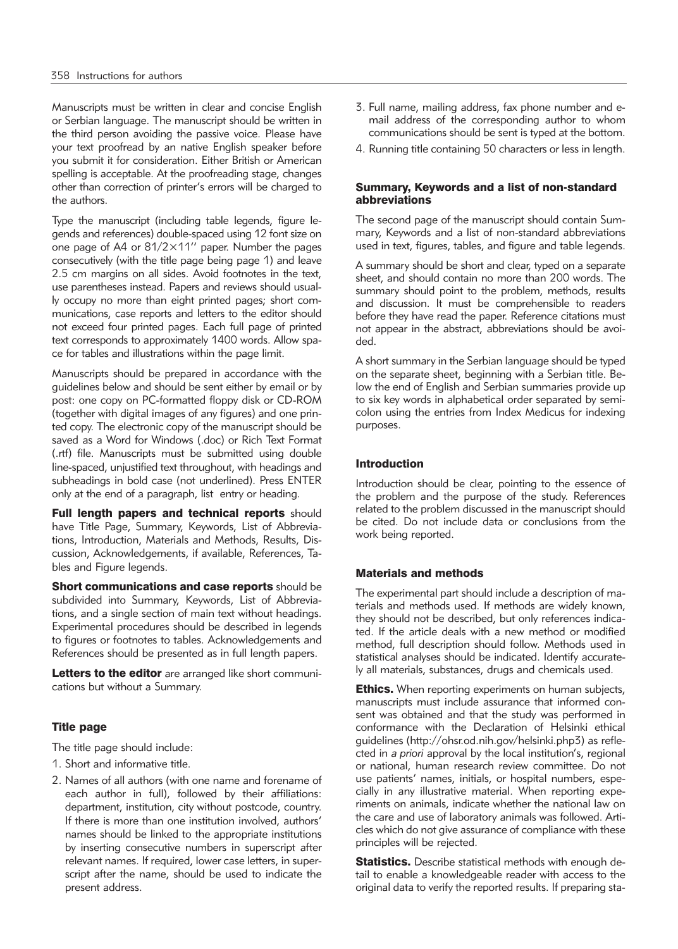Manuscripts must be written in clear and concise English or Serbian language. The manuscript should be written in the third person avoiding the passive voice. Please have your text proofread by an native English speaker before you submit it for consideration. Either British or American spelling is acceptable. At the proofreading stage, changes other than correction of printer's errors will be charged to the authors.

Type the manuscript (including table legends, figure legends and references) double-spaced using 12 font size on one page of A4 or  $81/2 \times 11''$  paper. Number the pages consecutively (with the title page being page 1) and leave 2.5 cm margins on all sides. Avoid footnotes in the text, use parentheses instead. Papers and reviews should usually occupy no more than eight printed pages; short communications, case reports and letters to the editor should not exceed four printed pages. Each full page of printed text corresponds to approximately 1400 words. Allow space for tables and illustrations within the page limit.

Manuscripts should be prepared in accordance with the guidelines below and should be sent either by email or by post: one copy on PC-formatted floppy disk or CD-ROM (together with digital images of any figures) and one prin ted copy. The electronic copy of the manuscript should be saved as a Word for Windows (.doc) or Rich Text Format (.rtf) file. Manuscripts must be submitted using double line-spaced, unjustified text throughout, with headings and subheadings in bold case (not underlined). Press ENTER only at the end of a paragraph, list entry or heading.

Full length papers and technical reports should have Title Page, Summary, Keywords, List of Abbreviations, Introduction, Materials and Methods, Results, Discussion, Acknowledgements, if available, References, Tables and Figure legends.

Short communications and case reports should be subdivided into Summary, Keywords, List of Abbreviations, and a single section of main text without headings. Experimental procedures should be described in legends to figures or footnotes to tables. Acknowledgements and References should be presented as in full length papers.

Letters to the editor are arranged like short communications but without a Summary.

# Title page

The title page should include:

- 1. Short and informative title.
- 2. Names of all authors (with one name and forename of each author in full), followed by their affiliations: department, institution, city without postcode, country. If there is more than one institution involved, authors' names should be linked to the appropriate institutions by inserting consecutive numbers in superscript after relevant names. If required, lower case letters, in superscript after the name, should be used to indicate the present address.
- 3. Full name, mailing address, fax phone number and email address of the corresponding author to whom communications should be sent is typed at the bottom.
- 4. Running title containing 50 characters or less in length.

### Summary, Keywords and a list of non-standard abbreviations

The second page of the manuscript should contain Summary, Keywords and a list of non-standard abbreviations used in text, figures, tables, and figure and table legends.

A summary should be short and clear, typed on a separate sheet, and should contain no more than 200 words. The summary should point to the problem, methods, results and discussion. It must be comprehensible to readers before they have read the paper. Reference citations must not appear in the abstract, abbreviations should be avoided.

A short summary in the Serbian language should be typed on the separate sheet, beginning with a Serbian title. Below the end of English and Serbian summaries provide up to six key words in alphabetical order separated by semicolon using the entries from Index Medicus for indexing purposes.

### Introduction

Introduction should be clear, pointing to the essence of the problem and the purpose of the study. References related to the problem discussed in the manuscript should be cited. Do not include data or conclusions from the work being reported.

### Materials and methods

The experimental part should include a description of materials and methods used. If methods are widely known, they should not be described, but only references indicated. If the article deals with a new method or modified method, full description should follow. Methods used in statistical analyses should be indicated. Identify accurately all materials, substances, drugs and chemicals used.

**Ethics.** When reporting experiments on human subjects, manuscripts must include assurance that informed consent was obtained and that the study was performed in conformance with the Declaration of Helsinki ethical guidelines (http://ohsr.od.nih.gov/helsinki.php3) as reflected in *a priori* approval by the local institution's, regional or national, human research review committee. Do not use patients' names, initials, or hospital numbers, especially in any illustrative material. When reporting experiments on animals, indicate whether the national law on the care and use of laboratory animals was followed. Articles which do not give assurance of compliance with these principles will be rejected.

Statistics. Describe statistical methods with enough detail to enable a knowledgeable reader with access to the original data to verify the reported results. If preparing sta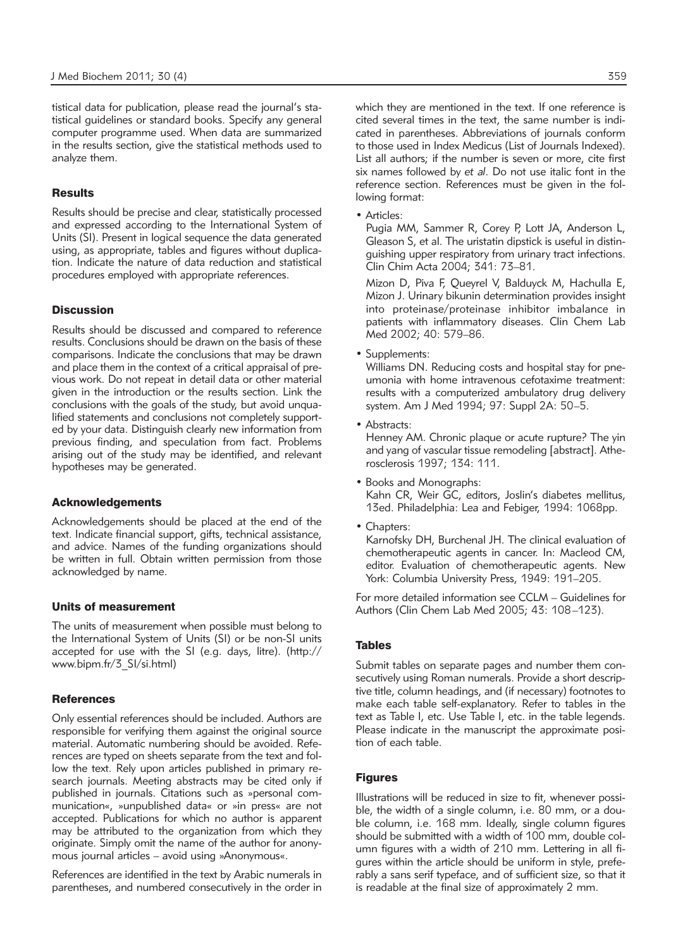tistical data for publication, please read the journal's statistical guidelines or standard books. Specify any general computer programme used. When data are summarized in the results section, give the statistical methods used to analyze them.

#### **Results**

Results should be precise and clear, statistically processed and expressed according to the International System of Units (SI). Present in logical sequence the data generated using, as appropriate, tables and figures without duplication. Indicate the nature of data reduction and statistical procedures employed with appropriate references.

### **Discussion**

Results should be discussed and compared to reference results. Conclusions should be drawn on the basis of these comparisons. Indicate the conclusions that may be drawn and place them in the context of a critical appraisal of previous work. Do not repeat in detail data or other material given in the introduction or the results section. Link the conclusions with the goals of the study, but avoid unqualified statements and conclusions not completely supported by your data. Distinguish clearly new information from previous finding, and speculation from fact. Problems arising out of the study may be identified, and relevant hypotheses may be generated.

#### Acknowledgements

Acknowledgements should be placed at the end of the text. Indicate financial support, gifts, technical assistance, and advice. Names of the funding organizations should be written in full. Obtain written permission from those acknowledged by name.

#### Units of measurement

The units of measurement when possible must belong to the International System of Units (SI) or be non-SI units accepted for use with the SI (e.g. days, litre). (http:// www.bipm.fr/3\_SI/si.html)

#### **References**

Only essential references should be included. Authors are responsible for verifying them against the original source material. Automatic numbering should be avoided. References are typed on sheets separate from the text and follow the text. Rely upon articles published in primary research journals. Meeting abstracts may be cited only if published in journals. Citations such as »personal communication«, »unpublished data« or »in press« are not accepted. Publications for which no author is apparent may be attributed to the organization from which they originate. Simply omit the name of the author for anonymous journal articles – avoid using »Anonymous«.

References are identified in the text by Arabic numerals in parentheses, and numbered consecutively in the order in which they are mentioned in the text. If one reference is cited several times in the text, the same number is indicated in parentheses. Abbreviations of journals conform to those used in Index Medicus (List of Journals Indexed). List all authors; if the number is seven or more, cite first six names followed by *et al*. Do not use italic font in the reference section. References must be given in the following format:

• Articles:

Pugia MM, Sammer R, Corey P, Lott JA, Anderson L, Gleason S, et al. The uristatin dipstick is useful in distinguishing upper respiratory from urinary tract infections. Clin Chim Acta 2004; 341: 73–81.

Mizon D, Piva F, Queyrel V, Balduyck M, Hachulla E, Mizon J. Urinary bikunin determination provides insight into proteinase/proteinase inhibitor imbalance in patients with inflammatory diseases. Clin Chem Lab Med 2002; 40: 579–86.

• Supplements:

Williams DN. Reducing costs and hospital stay for pneumonia with home intravenous cefotaxime treatment: results with a computerized ambulatory drug delivery system. Am J Med 1994; 97: Suppl 2A: 50–5.

• Abstracts:

Henney AM. Chronic plaque or acute rupture? The yin and yang of vascular tissue remodeling [abstract]. Atherosclerosis 1997; 134: 111.

- Books and Monographs: Kahn CR, Weir GC, editors, Joslin's diabetes mellitus, 13ed. Philadelphia: Lea and Febiger, 1994: 1068pp.
- Chapters:

Karnofsky DH, Burchenal JH. The clinical evaluation of chemotherapeutic agents in cancer. In: Macleod CM, editor. Evaluation of chemotherapeutic agents. New York: Columbia University Press, 1949: 191–205.

For more detailed information see CCLM – Guidelines for Authors (Clin Chem Lab Med 2005; 43: 108–123).

#### **Tables**

Submit tables on separate pages and number them consecutively using Roman numerals. Provide a short descriptive title, column headings, and (if necessary) footnotes to make each table self-explanatory. Refer to tables in the text as Table I, etc. Use Table I, etc. in the table legends. Please indicate in the manuscript the approximate position of each table.

#### Figures

Illustrations will be reduced in size to fit, whenever possible, the width of a single column, i.e. 80 mm, or a double column, i.e. 168 mm. Ideally, single column figures should be submitted with a width of 100 mm, double column figures with a width of 210 mm. Lettering in all figures within the article should be uniform in style, preferably a sans serif typeface, and of sufficient size, so that it is readable at the final size of approximately 2 mm.